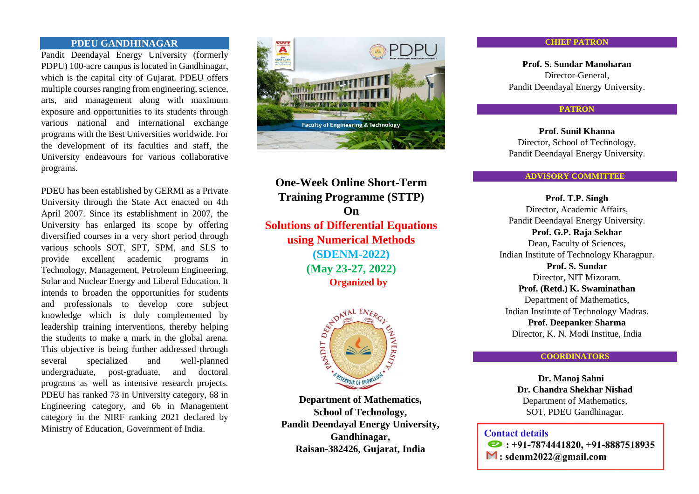## **PDEU GANDHINAGAR**

Pandit Deendayal Energy University (formerly PDPU) 100-acre campus is located in Gandhinagar, which is the capital city of Gujarat. PDEU offers multiple courses ranging from engineering, science, arts, and management along with maximum exposure and opportunities to its students through various national and international exchange programs with the Best Universities worldwide. For the development of its faculties and staff, the University endeavours for various collaborative programs.

PDEU has been established by GERMI as a Private University through the State Act enacted on 4th April 2007. Since its establishment in 2007, the University has enlarged its scope by offering diversified courses in a very short period through various schools SOT, SPT, SPM, and SLS to provide excellent academic programs in Technology, Management, Petroleum Engineering, Solar and Nuclear Energy and Liberal Education. It intends to broaden the opportunities for students and professionals to develop core subject knowledge which is duly complemented by leadership training interventions, thereby helping the students to make a mark in the global arena. This objective is being further addressed through several specialized and well-planned undergraduate, post-graduate, and doctoral programs as well as intensive research projects. PDEU has ranked 73 in University category, 68 in Engineering category, and 66 in Management category in the NIRF ranking 2021 declared by Ministry of Education, Government of India.



**One-Week Online Short-Term Training Programme (STTP) On Solutions of Differential Equations using Numerical Methods (SDENM-2022) (May 23-27, 2022) Organized by**



**Department of Mathematics, School of Technology, Pandit Deendayal Energy University, Gandhinagar, Raisan-382426, Gujarat, India**

#### **CHIEF PATRON**

**Prof. S. Sundar Manoharan** Director-General, Pandit Deendayal Energy University.

#### **PATRON**

**Prof. Sunil Khanna** Director, School of Technology, Pandit Deendayal Energy University.

#### **ADVISORY COMMITTEE**

**Prof. T.P. Singh** Director, Academic Affairs, Pandit Deendayal Energy University. **Prof. G.P. Raja Sekhar** Dean, Faculty of Sciences, Indian Institute of Technology Kharagpur. **Prof. S. Sundar** Director, NIT Mizoram. **Prof. (Retd.) K. Swaminathan** Department of Mathematics, Indian Institute of Technology Madras. **Prof. Deepanker Sharma** Director, K. N. Modi Institue, India

#### **COORDINATORS**

 **Dr. Manoj Sahni Dr. Chandra Shekhar Nishad** Department of Mathematics, SOT, PDEU Gandhinagar.

## **Contact details**

 $\bullet$ : +91-7874441820, +91-8887518935  $\mathbf{M}$ : sdenm2022@gmail.com